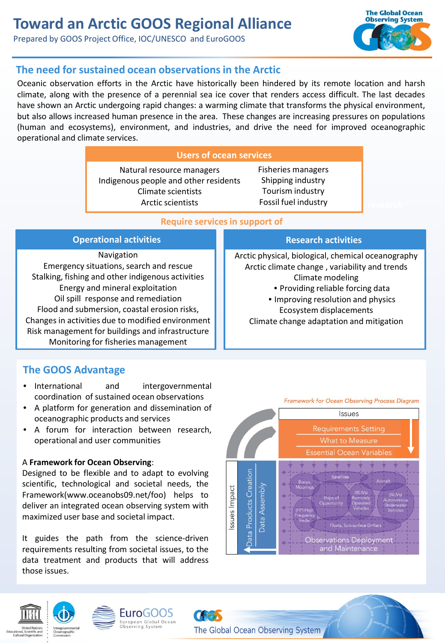# **Toward an Arctic GOOS Regional Alliance**

Prepared by GOOS Project Office, IOC/UNESCO and EuroGOOS



## **The need for sustained ocean observations in the Arctic**

Oceanic observation efforts in the Arctic have historically been hindered by its remote location and harsh climate, along with the presence of a perennial sea ice cover that renders access difficult. The last decades have shown an Arctic undergoing rapid changes: a warming climate that transforms the physical environment, but also allows increased human presence in the area. These changes are increasing pressures on populations (human and ecosystems), environment, and industries, and drive the need for improved oceanographic operational and climate services.

#### **Users of ocean services**

Natural resource managers Indigenous people and other residents Climate scientists Arctic scientists

**Fossil fuel industry and the search** Fisheries managers Shipping industry Tourism industry

#### **Require services in support of**

| <b>Operational activities</b>                     | <b>Research activities</b>                         |
|---------------------------------------------------|----------------------------------------------------|
| Navigation                                        | Arctic physical, biological, chemical oceanography |
| Emergency situations, search and rescue           | Arctic climate change, variability and trends      |
| Stalking, fishing and other indigenous activities | Climate modeling                                   |
| Energy and mineral exploitation                   | • Providing reliable forcing data                  |
| Oil spill response and remediation                | • Improving resolution and physics                 |
| Flood and submersion, coastal erosion risks,      | Ecosystem displacements                            |
| Changes in activities due to modified environment | Climate change adaptation and mitigation           |
| Risk management for buildings and infrastructure  |                                                    |
| Monitoring for fisheries management               |                                                    |

# **The GOOS Advantage**

- International and intergovernmental coordination of sustained ocean observations
- A platform for generation and dissemination of oceanographic products and services
- A forum for interaction between research, operational and user communities

#### A **Framework for Ocean Observing**:

Designed to be flexible and to adapt to evolving scientific, technological and societal needs, the Framework(www.oceanobs09.net/foo) helps to deliver an integrated ocean observing system with maximized user base and societal impact.

It guides the path from the science-driven requirements resulting from societal issues, to the data treatment and products that will address those issues.